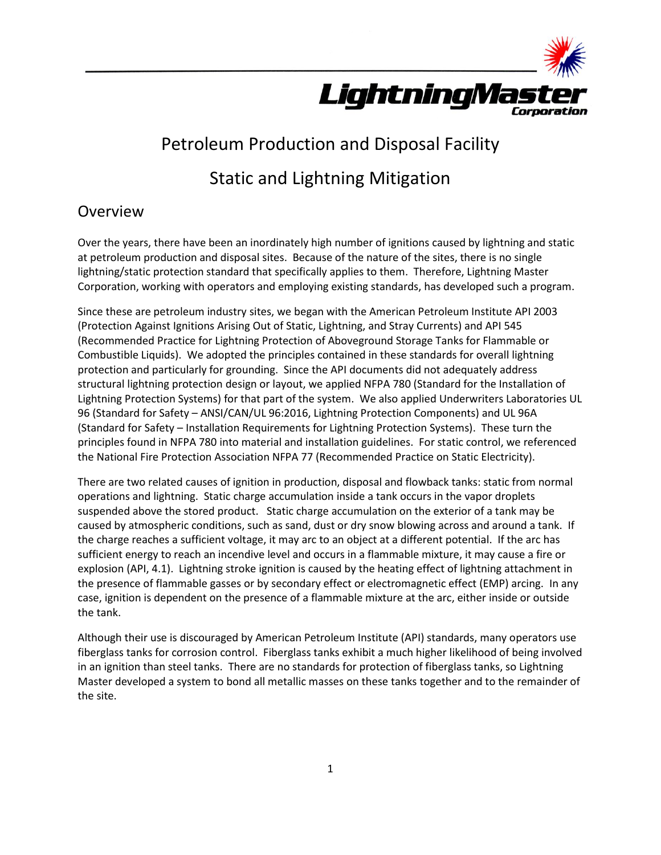

## Petroleum Production and Disposal Facility

# Static and Lightning Mitigation

## **Overview**

Over the years, there have been an inordinately high number of ignitions caused by lightning and static at petroleum production and disposal sites. Because of the nature of the sites, there is no single lightning/static protection standard that specifically applies to them. Therefore, Lightning Master Corporation, working with operators and employing existing standards, has developed such a program.

Since these are petroleum industry sites, we began with the American Petroleum Institute API 2003 (Protection Against Ignitions Arising Out of Static, Lightning, and Stray Currents) and API 545 (Recommended Practice for Lightning Protection of Aboveground Storage Tanks for Flammable or Combustible Liquids). We adopted the principles contained in these standards for overall lightning protection and particularly for grounding. Since the API documents did not adequately address structural lightning protection design or layout, we applied NFPA 780 (Standard for the Installation of Lightning Protection Systems) for that part of the system. We also applied Underwriters Laboratories UL 96 (Standard for Safety – ANSI/CAN/UL 96:2016, Lightning Protection Components) and UL 96A (Standard for Safety – Installation Requirements for Lightning Protection Systems). These turn the principles found in NFPA 780 into material and installation guidelines. For static control, we referenced the National Fire Protection Association NFPA 77 (Recommended Practice on Static Electricity).

There are two related causes of ignition in production, disposal and flowback tanks: static from normal operations and lightning. Static charge accumulation inside a tank occurs in the vapor droplets suspended above the stored product. Static charge accumulation on the exterior of a tank may be caused by atmospheric conditions, such as sand, dust or dry snow blowing across and around a tank. If the charge reaches a sufficient voltage, it may arc to an object at a different potential. If the arc has sufficient energy to reach an incendive level and occurs in a flammable mixture, it may cause a fire or explosion (API, 4.1). Lightning stroke ignition is caused by the heating effect of lightning attachment in the presence of flammable gasses or by secondary effect or electromagnetic effect (EMP) arcing. In any case, ignition is dependent on the presence of a flammable mixture at the arc, either inside or outside the tank.

Although their use is discouraged by American Petroleum Institute (API) standards, many operators use fiberglass tanks for corrosion control. Fiberglass tanks exhibit a much higher likelihood of being involved in an ignition than steel tanks. There are no standards for protection of fiberglass tanks, so Lightning Master developed a system to bond all metallic masses on these tanks together and to the remainder of the site.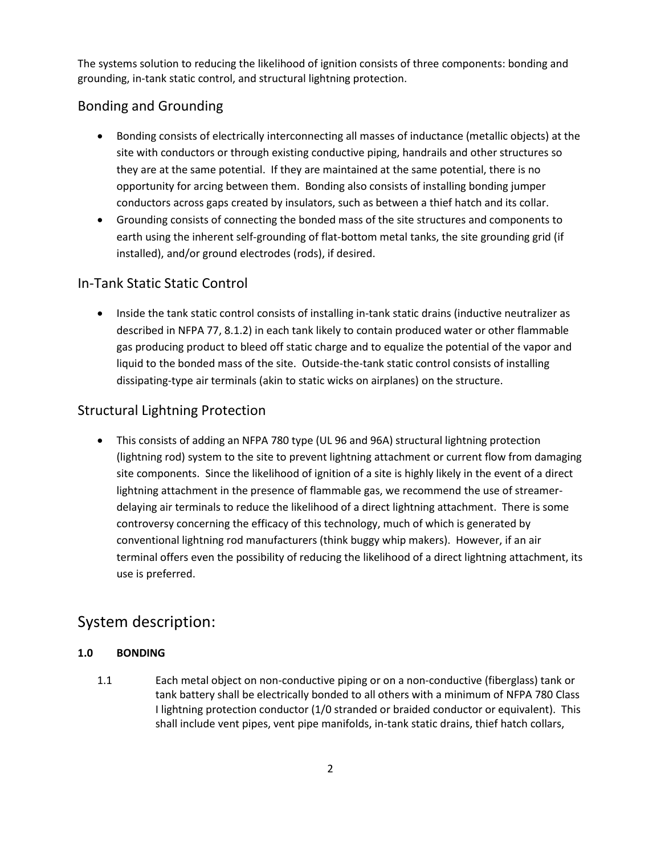The systems solution to reducing the likelihood of ignition consists of three components: bonding and grounding, in-tank static control, and structural lightning protection.

## Bonding and Grounding

- Bonding consists of electrically interconnecting all masses of inductance (metallic objects) at the site with conductors or through existing conductive piping, handrails and other structures so they are at the same potential. If they are maintained at the same potential, there is no opportunity for arcing between them. Bonding also consists of installing bonding jumper conductors across gaps created by insulators, such as between a thief hatch and its collar.
- Grounding consists of connecting the bonded mass of the site structures and components to earth using the inherent self-grounding of flat-bottom metal tanks, the site grounding grid (if installed), and/or ground electrodes (rods), if desired.

## In-Tank Static Static Control

• Inside the tank static control consists of installing in-tank static drains (inductive neutralizer as described in NFPA 77, 8.1.2) in each tank likely to contain produced water or other flammable gas producing product to bleed off static charge and to equalize the potential of the vapor and liquid to the bonded mass of the site. Outside-the-tank static control consists of installing dissipating-type air terminals (akin to static wicks on airplanes) on the structure.

## Structural Lightning Protection

 This consists of adding an NFPA 780 type (UL 96 and 96A) structural lightning protection (lightning rod) system to the site to prevent lightning attachment or current flow from damaging site components. Since the likelihood of ignition of a site is highly likely in the event of a direct lightning attachment in the presence of flammable gas, we recommend the use of streamerdelaying air terminals to reduce the likelihood of a direct lightning attachment. There is some controversy concerning the efficacy of this technology, much of which is generated by conventional lightning rod manufacturers (think buggy whip makers). However, if an air terminal offers even the possibility of reducing the likelihood of a direct lightning attachment, its use is preferred.

## System description:

#### **1.0 BONDING**

1.1 Each metal object on non-conductive piping or on a non-conductive (fiberglass) tank or tank battery shall be electrically bonded to all others with a minimum of NFPA 780 Class I lightning protection conductor (1/0 stranded or braided conductor or equivalent). This shall include vent pipes, vent pipe manifolds, in-tank static drains, thief hatch collars,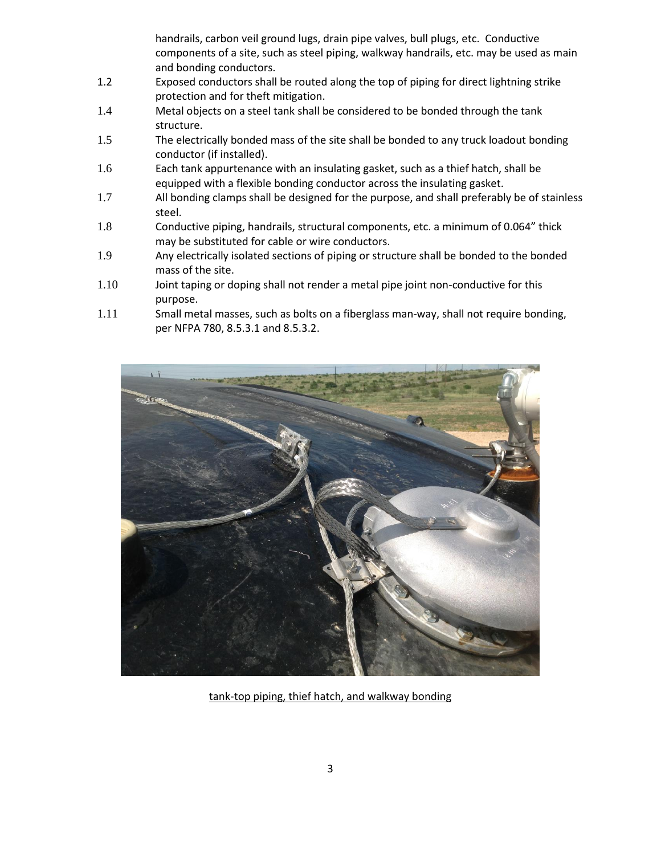handrails, carbon veil ground lugs, drain pipe valves, bull plugs, etc. Conductive components of a site, such as steel piping, walkway handrails, etc. may be used as main and bonding conductors.

- 1.2 Exposed conductors shall be routed along the top of piping for direct lightning strike protection and for theft mitigation.
- 1.4 Metal objects on a steel tank shall be considered to be bonded through the tank structure.
- 1.5 The electrically bonded mass of the site shall be bonded to any truck loadout bonding conductor (if installed).
- 1.6 Each tank appurtenance with an insulating gasket, such as a thief hatch, shall be equipped with a flexible bonding conductor across the insulating gasket.
- 1.7 All bonding clamps shall be designed for the purpose, and shall preferably be of stainless steel.
- 1.8 Conductive piping, handrails, structural components, etc. a minimum of 0.064" thick may be substituted for cable or wire conductors.
- 1.9 Any electrically isolated sections of piping or structure shall be bonded to the bonded mass of the site.
- 1.10 Joint taping or doping shall not render a metal pipe joint non-conductive for this purpose.
- 1.11 Small metal masses, such as bolts on a fiberglass man-way, shall not require bonding, per NFPA 780, 8.5.3.1 and 8.5.3.2.



tank-top piping, thief hatch, and walkway bonding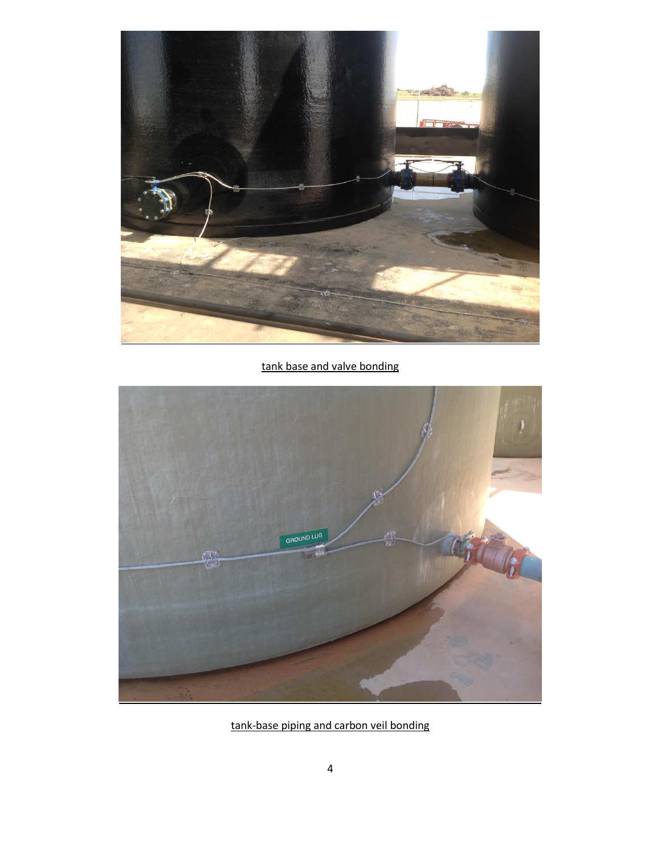

tank base and valve bonding



tank-base piping and carbon veil bonding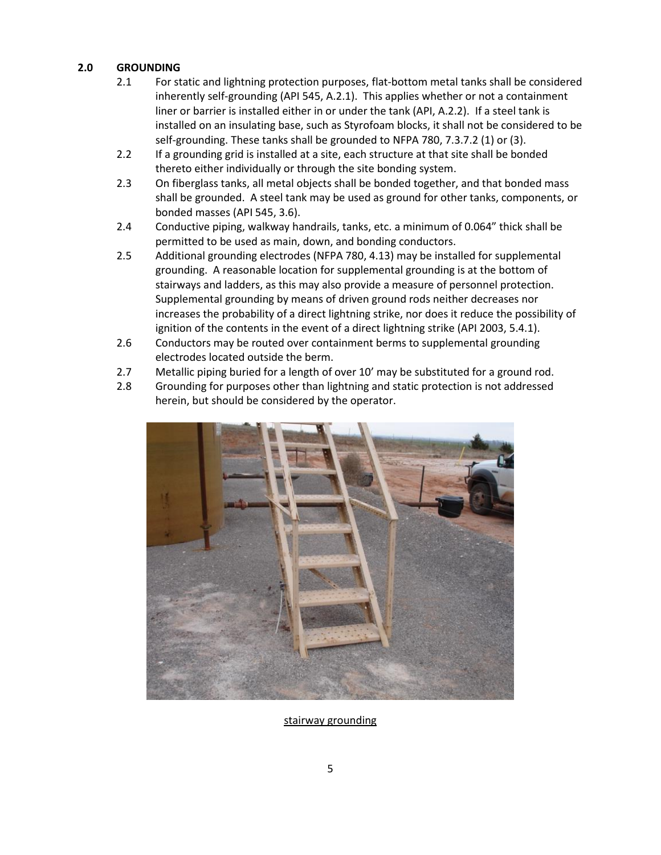#### **2.0 GROUNDING**

- 2.1 For static and lightning protection purposes, flat-bottom metal tanks shall be considered inherently self-grounding (API 545, A.2.1). This applies whether or not a containment liner or barrier is installed either in or under the tank (API, A.2.2). If a steel tank is installed on an insulating base, such as Styrofoam blocks, it shall not be considered to be self-grounding. These tanks shall be grounded to NFPA 780, 7.3.7.2 (1) or (3).
- 2.2 If a grounding grid is installed at a site, each structure at that site shall be bonded thereto either individually or through the site bonding system.
- 2.3 On fiberglass tanks, all metal objects shall be bonded together, and that bonded mass shall be grounded. A steel tank may be used as ground for other tanks, components, or bonded masses (API 545, 3.6).
- 2.4 Conductive piping, walkway handrails, tanks, etc. a minimum of 0.064" thick shall be permitted to be used as main, down, and bonding conductors.
- 2.5 Additional grounding electrodes (NFPA 780, 4.13) may be installed for supplemental grounding. A reasonable location for supplemental grounding is at the bottom of stairways and ladders, as this may also provide a measure of personnel protection. Supplemental grounding by means of driven ground rods neither decreases nor increases the probability of a direct lightning strike, nor does it reduce the possibility of ignition of the contents in the event of a direct lightning strike (API 2003, 5.4.1).
- 2.6 Conductors may be routed over containment berms to supplemental grounding electrodes located outside the berm.
- 2.7 Metallic piping buried for a length of over 10' may be substituted for a ground rod.
- 2.8 Grounding for purposes other than lightning and static protection is not addressed herein, but should be considered by the operator.



stairway grounding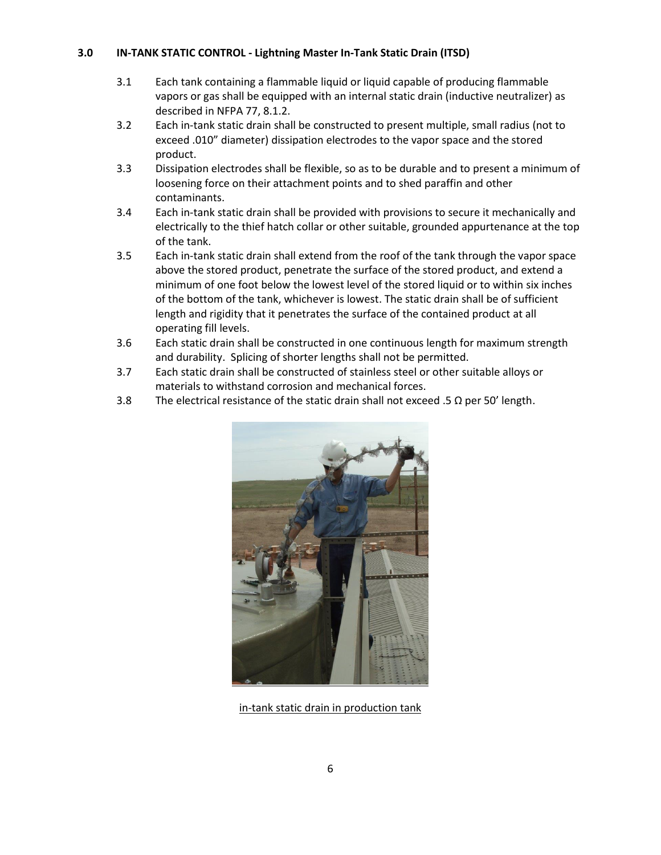#### **3.0 IN-TANK STATIC CONTROL - Lightning Master In-Tank Static Drain (ITSD)**

- 3.1 Each tank containing a flammable liquid or liquid capable of producing flammable vapors or gas shall be equipped with an internal static drain (inductive neutralizer) as described in NFPA 77, 8.1.2.
- 3.2 Each in-tank static drain shall be constructed to present multiple, small radius (not to exceed .010" diameter) dissipation electrodes to the vapor space and the stored product.
- 3.3 Dissipation electrodes shall be flexible, so as to be durable and to present a minimum of loosening force on their attachment points and to shed paraffin and other contaminants.
- 3.4 Each in-tank static drain shall be provided with provisions to secure it mechanically and electrically to the thief hatch collar or other suitable, grounded appurtenance at the top of the tank.
- 3.5 Each in-tank static drain shall extend from the roof of the tank through the vapor space above the stored product, penetrate the surface of the stored product, and extend a minimum of one foot below the lowest level of the stored liquid or to within six inches of the bottom of the tank, whichever is lowest. The static drain shall be of sufficient length and rigidity that it penetrates the surface of the contained product at all operating fill levels.
- 3.6 Each static drain shall be constructed in one continuous length for maximum strength and durability. Splicing of shorter lengths shall not be permitted.
- 3.7 Each static drain shall be constructed of stainless steel or other suitable alloys or materials to withstand corrosion and mechanical forces.
- 3.8 The electrical resistance of the static drain shall not exceed .5  $\Omega$  per 50' length.



in-tank static drain in production tank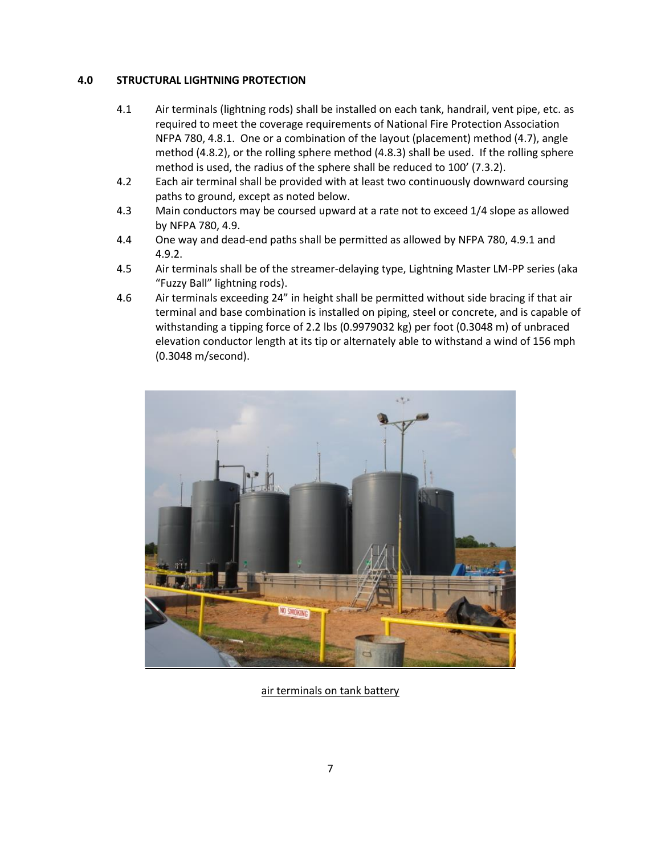#### **4.0 STRUCTURAL LIGHTNING PROTECTION**

- 4.1 Air terminals (lightning rods) shall be installed on each tank, handrail, vent pipe, etc. as required to meet the coverage requirements of National Fire Protection Association NFPA 780, 4.8.1. One or a combination of the layout (placement) method (4.7), angle method (4.8.2), or the rolling sphere method (4.8.3) shall be used. If the rolling sphere method is used, the radius of the sphere shall be reduced to 100' (7.3.2).
- 4.2 Each air terminal shall be provided with at least two continuously downward coursing paths to ground, except as noted below.
- 4.3 Main conductors may be coursed upward at a rate not to exceed 1/4 slope as allowed by NFPA 780, 4.9.
- 4.4 One way and dead-end paths shall be permitted as allowed by NFPA 780, 4.9.1 and 4.9.2.
- 4.5 Air terminals shall be of the streamer-delaying type, Lightning Master LM-PP series (aka "Fuzzy Ball" lightning rods).
- 4.6 Air terminals exceeding 24" in height shall be permitted without side bracing if that air terminal and base combination is installed on piping, steel or concrete, and is capable of withstanding a tipping force of 2.2 lbs (0.9979032 kg) per foot (0.3048 m) of unbraced elevation conductor length at its tip or alternately able to withstand a wind of 156 mph (0.3048 m/second).



air terminals on tank battery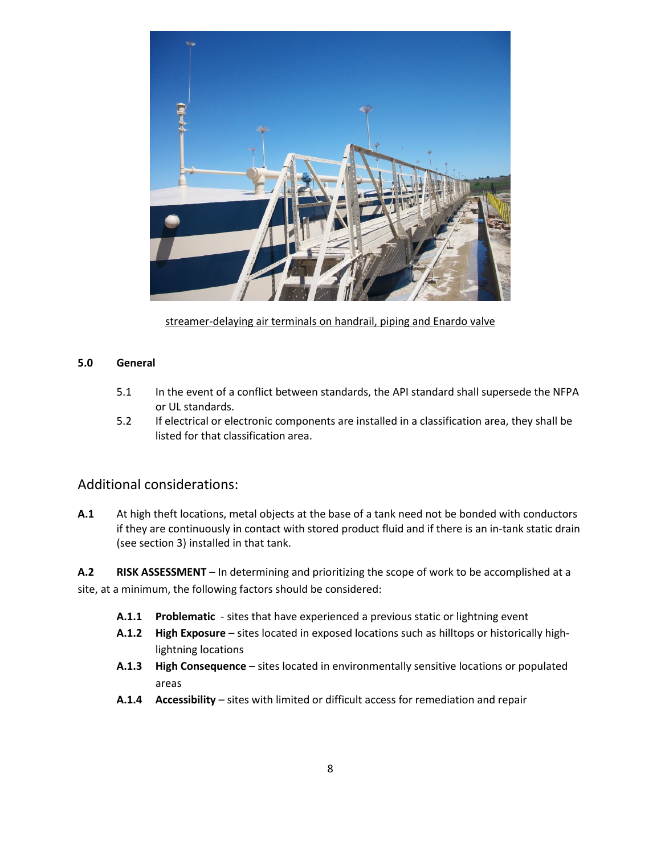

streamer-delaying air terminals on handrail, piping and Enardo valve

#### **5.0 General**

- 5.1 In the event of a conflict between standards, the API standard shall supersede the NFPA or UL standards.
- 5.2 If electrical or electronic components are installed in a classification area, they shall be listed for that classification area.

#### Additional considerations:

**A.1** At high theft locations, metal objects at the base of a tank need not be bonded with conductors if they are continuously in contact with stored product fluid and if there is an in-tank static drain (see section 3) installed in that tank.

**A.2 RISK ASSESSMENT** – In determining and prioritizing the scope of work to be accomplished at a site, at a minimum, the following factors should be considered:

- **A.1.1 Problematic** sites that have experienced a previous static or lightning event
- **A.1.2 High Exposure**  sites located in exposed locations such as hilltops or historically highlightning locations
- **A.1.3 High Consequence**  sites located in environmentally sensitive locations or populated areas
- **A.1.4 Accessibility**  sites with limited or difficult access for remediation and repair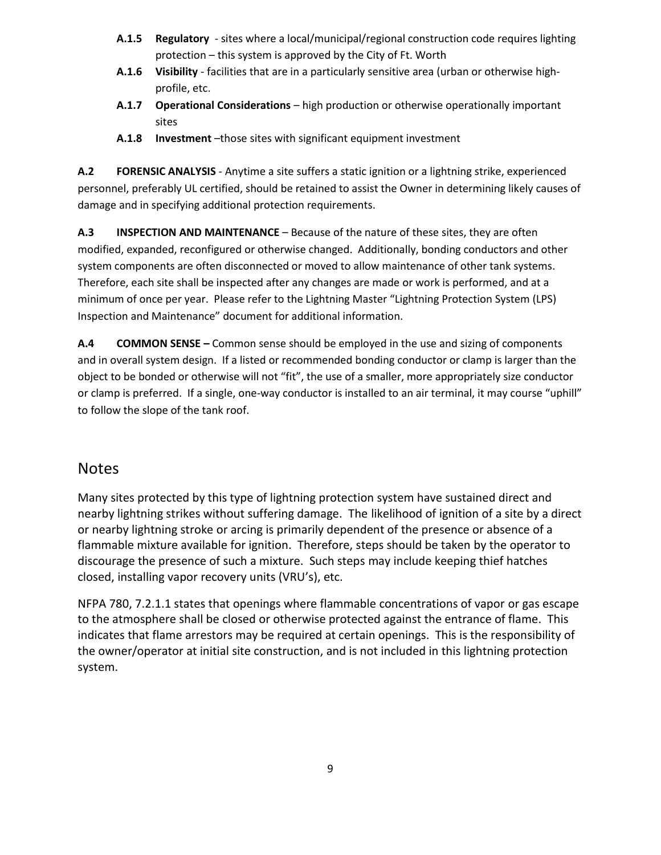- **A.1.5 Regulatory** sites where a local/municipal/regional construction code requires lighting protection – this system is approved by the City of Ft. Worth
- **A.1.6 Visibility** facilities that are in a particularly sensitive area (urban or otherwise highprofile, etc.
- **A.1.7 Operational Considerations** high production or otherwise operationally important sites
- **A.1.8 Investment** –those sites with significant equipment investment

**A.2 FORENSIC ANALYSIS** - Anytime a site suffers a static ignition or a lightning strike, experienced personnel, preferably UL certified, should be retained to assist the Owner in determining likely causes of damage and in specifying additional protection requirements.

**A.3 INSPECTION AND MAINTENANCE** – Because of the nature of these sites, they are often modified, expanded, reconfigured or otherwise changed. Additionally, bonding conductors and other system components are often disconnected or moved to allow maintenance of other tank systems. Therefore, each site shall be inspected after any changes are made or work is performed, and at a minimum of once per year. Please refer to the Lightning Master "Lightning Protection System (LPS) Inspection and Maintenance" document for additional information.

**A.4 COMMON SENSE –** Common sense should be employed in the use and sizing of components and in overall system design. If a listed or recommended bonding conductor or clamp is larger than the object to be bonded or otherwise will not "fit", the use of a smaller, more appropriately size conductor or clamp is preferred. If a single, one-way conductor is installed to an air terminal, it may course "uphill" to follow the slope of the tank roof.

## **Notes**

Many sites protected by this type of lightning protection system have sustained direct and nearby lightning strikes without suffering damage. The likelihood of ignition of a site by a direct or nearby lightning stroke or arcing is primarily dependent of the presence or absence of a flammable mixture available for ignition. Therefore, steps should be taken by the operator to discourage the presence of such a mixture. Such steps may include keeping thief hatches closed, installing vapor recovery units (VRU's), etc.

NFPA 780, 7.2.1.1 states that openings where flammable concentrations of vapor or gas escape to the atmosphere shall be closed or otherwise protected against the entrance of flame. This indicates that flame arrestors may be required at certain openings. This is the responsibility of the owner/operator at initial site construction, and is not included in this lightning protection system.